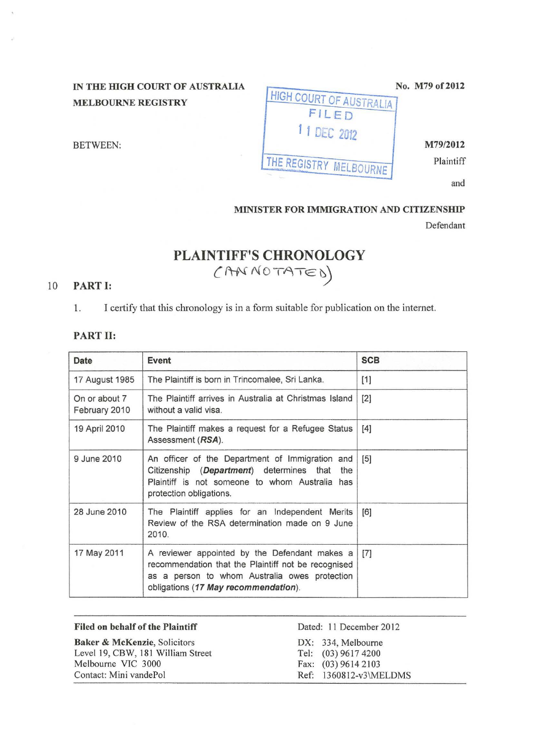## IN THE HIGH COURT OF AUSTRALIA MELBOURNE REGISTRY

FNO. M179 OF 2012 **HIGH COURT OF AUSTRALIA** FILED 11 DEC 2012 BETWEEN: M79/2012 THE REGISTRY MELBOURNE

and

### MINISTER FOR IMMIGRATION AND CITIZENSHIP

Defendant

# PLAINTIFF'S CHRONOLOGY  $(AM NOTATE 0)$

### 10 PART 1:

1. I certify that this chronology is in a form suitable for publication on the internet.

#### PART II:

| Date                           | Event                                                                                                                                                                                         | <b>SCB</b> |
|--------------------------------|-----------------------------------------------------------------------------------------------------------------------------------------------------------------------------------------------|------------|
| 17 August 1985                 | The Plaintiff is born in Trincomalee, Sri Lanka.                                                                                                                                              | $[1]$      |
| On or about 7<br>February 2010 | The Plaintiff arrives in Australia at Christmas Island<br>without a valid visa.                                                                                                               | [2]        |
| 19 April 2010                  | The Plaintiff makes a request for a Refugee Status<br>Assessment (RSA).                                                                                                                       | $[4]$      |
| 9 June 2010                    | An officer of the Department of Immigration and<br>Citizenship (Department) determines that<br>the<br>Plaintiff is not someone to whom Australia has<br>protection obligations.               | $[5]$      |
| 28 June 2010                   | The Plaintiff applies for an Independent Merits<br>Review of the RSA determination made on 9 June<br>2010.                                                                                    | [6]        |
| 17 May 2011                    | A reviewer appointed by the Defendant makes a<br>recommendation that the Plaintiff not be recognised<br>as a person to whom Australia owes protection<br>obligations (17 May recommendation). | $[7]$      |

| <b>Filed on behalf of the Plaintiff</b> | Dated: 11 December 2012 |
|-----------------------------------------|-------------------------|
| Baker & McKenzie, Solicitors            | DX: 334, Melbourne      |
| Level 19, CBW, 181 William Street       | Tel: (03) 9617 4200     |
| Melbourne VIC 3000                      | Fax: (03) 9614 2103     |
| Contact: Mini vandePol                  | Ref: 1360812-v3\MELDMS  |